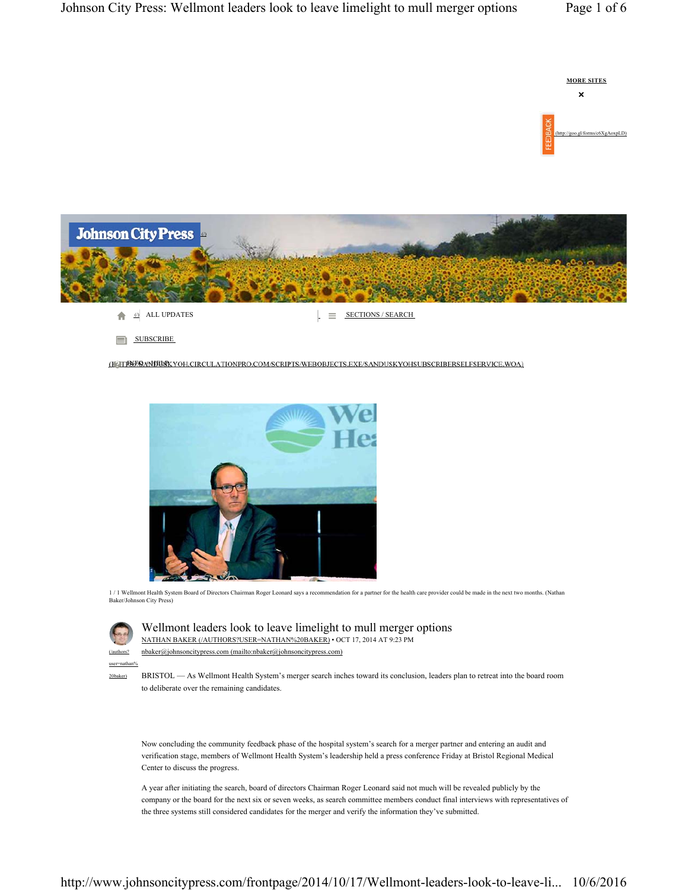



**SUBSCRIBE** 

(ICTINES AND HELF YOH.CIRCULATIONPRO.COM/SCRIPTS/WEBOBJECTS.EXE/SANDUSKYOHSUBSCRIBERSELFSERVICE.WOA)



1 / 1 Wellmont Health System Board of Directors Chairman Roger Leonard says a recommendation for a partner for the health care provider could be made in the next two months. (Nathan Baker/Johnson City Press)

| (/authors' |  |
|------------|--|

user=nathan% 20baker)

 $\alpha$ johnsoncitypress.com (mailto:nbaker $\alpha$ johnsoncitypress.com) Wellmont leaders look to leave limelight to mull merger options NATHAN BAKER (/AUTHORS?USER=NATHAN%20BAKER) • OCT 17, 2014 AT 9:23 PM

BRISTOL — As Wellmont Health System's merger search inches toward its conclusion, leaders plan to retreat into the board room to deliberate over the remaining candidates.

Now concluding the community feedback phase of the hospital system's search for a merger partner and entering an audit and verification stage, members of Wellmont Health System's leadership held a press conference Friday at Bristol Regional Medical Center to discuss the progress.

A year after initiating the search, board of directors Chairman Roger Leonard said not much will be revealed publicly by the company or the board for the next six or seven weeks, as search committee members conduct final interviews with representatives of the three systems still considered candidates for the merger and verify the information they've submitted.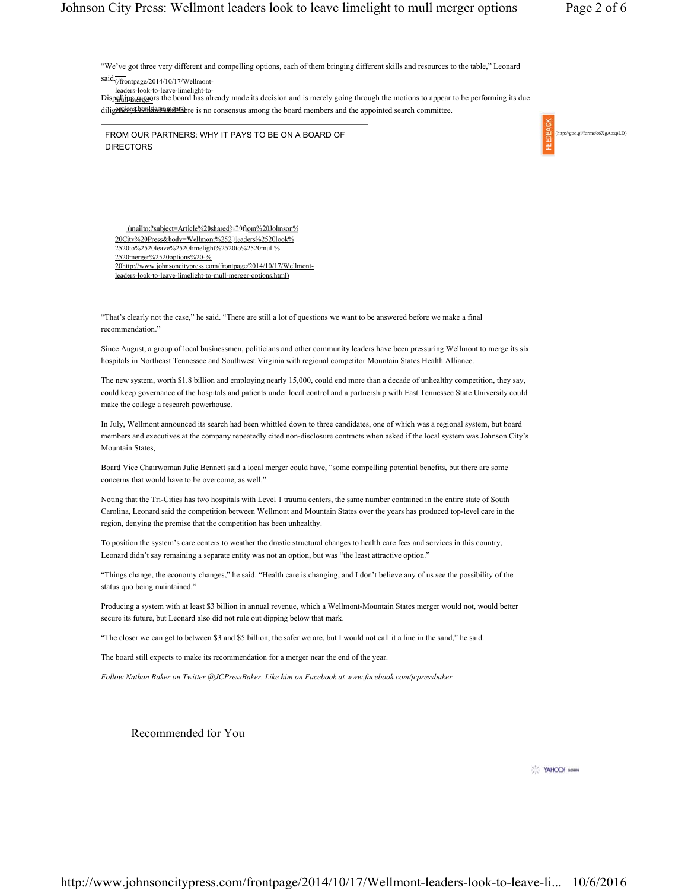"We've got three very different and compelling options, each of them bringing different skills and resources to the table," Leonard

 $said \frac{1}{(1000 \text{ft})}$  (2014/10/17/Wellmont-

leaders-look-to-leave-limelight-to-Dispelling rumors the board has already made its decision and is merely going through the motions to appear to be performing its due

diligentien a leanitien matched there is no consensus among the board members and the appointed search committee.

FROM OUR PARTNERS: WHY IT PAYS TO BE ON A BOARD OF **DIRECTORS** 



(mailto:?subject=Article%20shared%20from%20Johnson% 20City%20Press&body=Wellmont%2520leaders%2520look% 2520to%2520leave%2520limelight%2520to%2520mull% 2520merger%2520options%20-% 20http://www.johnsoncitypress.com/frontpage/2014/10/17/Wellmontleaders-look-to-leave-limelight-to-mull-merger-options.html)

"That's clearly not the case," he said. "There are still a lot of questions we want to be answered before we make a final recommendation."

Since August, a group of local businessmen, politicians and other community leaders have been pressuring Wellmont to merge its six hospitals in Northeast Tennessee and Southwest Virginia with regional competitor Mountain States Health Alliance.

The new system, worth \$1.8 billion and employing nearly 15,000, could end more than a decade of unhealthy competition, they say, could keep governance of the hospitals and patients under local control and a partnership with East Tennessee State University could make the college a research powerhouse.

In July, Wellmont announced its search had been whittled down to three candidates, one of which was a regional system, but board members and executives at the company repeatedly cited non-disclosure contracts when asked if the local system was Johnson City's Mountain States.

Board Vice Chairwoman Julie Bennett said a local merger could have, "some compelling potential benefits, but there are some concerns that would have to be overcome, as well."

Noting that the Tri-Cities has two hospitals with Level 1 trauma centers, the same number contained in the entire state of South Carolina, Leonard said the competition between Wellmont and Mountain States over the years has produced top-level care in the region, denying the premise that the competition has been unhealthy.

To position the system's care centers to weather the drastic structural changes to health care fees and services in this country, Leonard didn't say remaining a separate entity was not an option, but was "the least attractive option."

"Things change, the economy changes," he said. "Health care is changing, and I don't believe any of us see the possibility of the status quo being maintained."

Producing a system with at least \$3 billion in annual revenue, which a Wellmont-Mountain States merger would not, would better secure its future, but Leonard also did not rule out dipping below that mark.

"The closer we can get to between \$3 and \$5 billion, the safer we are, but I would not call it a line in the sand," he said.

The board still expects to make its recommendation for a merger near the end of the year.

*Follow Nathan Baker on Twitter @JCPressBaker. Like him on Facebook at www.facebook.com/jcpressbaker.*

Recommended for You

YAHOO! GENERAL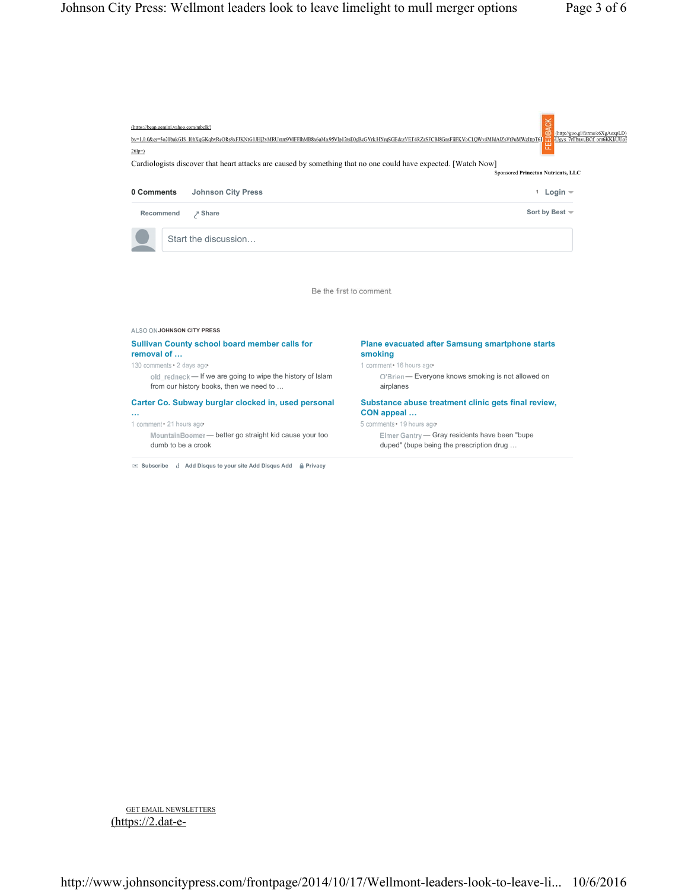

GET EMAIL NEWSLETTERS (https://2.dat-e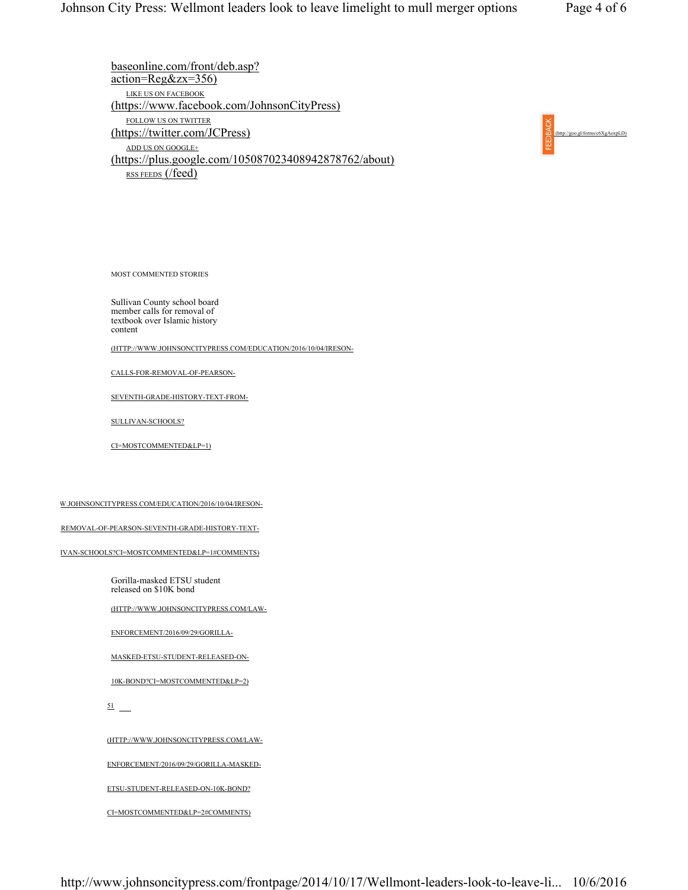baseonline.com/front/deb.asp?  $\arctan=Reg&zz=356$ LIKE US ON FACEBOOK (https://www.facebook.com/JohnsonCityPress) FOLLOW US ON TWITTER (https://twitter.com/JCPress) ADD US ON GOOGLE+ (https://plus.google.com/105087023408942878762/about) RSS FEEDS (/feed)



MOST COMMENTED STORIES

Sullivan County school board member calls for removal of textbook over Islamic history content

(HTTP://WWW.JOHNSONCITYPRESS.COM/EDUCATION/2016/10/04/IRESON-

CALLS-FOR-REMOVAL-OF-PEARSON-

SEVENTH-GRADE-HISTORY-TEXT-FROM-

SULLIVAN-SCHOOLS?

CI=MOSTCOMMENTED&LP=1)

W.JOHNSONCITYPRESS.COM/EDUCATION/2016/10/04/IRESON-

-REMOVAL-OF-PEARSON-SEVENTH-GRADE-HISTORY-TEXT-

IVAN-SCHOOLS?CI=MOSTCOMMENTED&LP=1#COMMENTS)

Gorilla-masked ETSU student released on \$10K bond

(HTTP://WWW.JOHNSONCITYPRESS.COM/LAW-

ENFORCEMENT/2016/09/29/GORILLA-

MASKED-ETSU-STUDENT-RELEASED-ON-

10K-BOND?CI=MOSTCOMMENTED&LP=2)

51

(HTTP://WWW.JOHNSONCITYPRESS.COM/LAW-

ENFORCEMENT/2016/09/29/GORILLA-MASKED-

ETSU-STUDENT-RELEASED-ON-10K-BOND?

CI=MOSTCOMMENTED&LP=2#COMMENTS)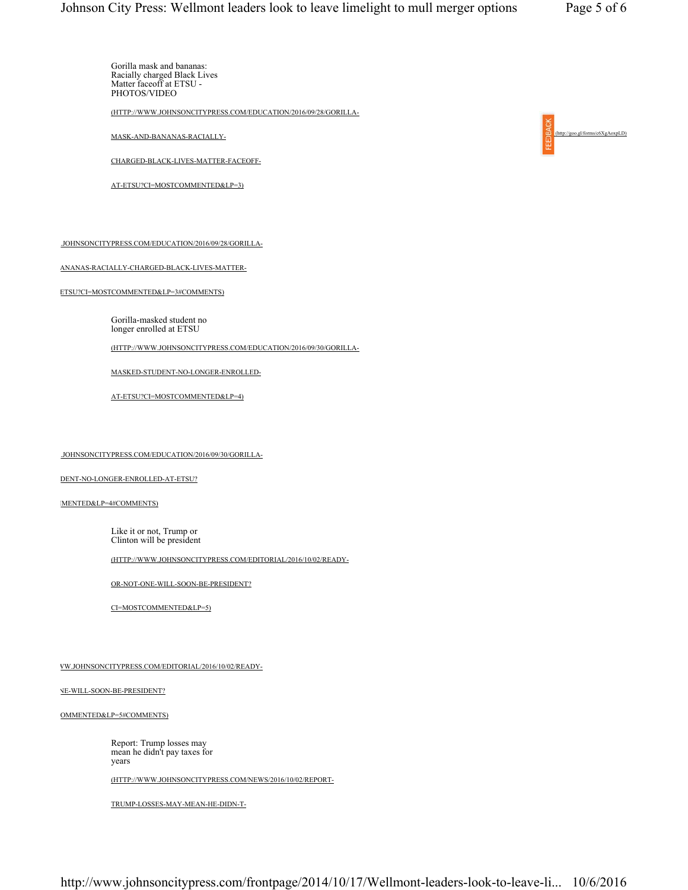Gorilla mask and bananas: Racially charged Black Lives Matter faceoff at ETSU - PHOTOS/VIDEO

(HTTP://WWW.JOHNSONCITYPRESS.COM/EDUCATION/2016/09/28/GORILLA-

MASK-AND-BANANAS-RACIALLY-

CHARGED-BLACK-LIVES-MATTER-FACEOFF-

AT-ETSU?CI=MOSTCOMMENTED&LP=3)

.JOHNSONCITYPRESS.COM/EDUCATION/2016/09/28/GORILLA-

ANANAS-RACIALLY-CHARGED-BLACK-LIVES-MATTER-

ETSU?CI=MOSTCOMMENTED&LP=3#COMMENTS)

Gorilla-masked student no longer enrolled at ETSU

(HTTP://WWW.JOHNSONCITYPRESS.COM/EDUCATION/2016/09/30/GORILLA-

MASKED-STUDENT-NO-LONGER-ENROLLED-

AT-ETSU?CI=MOSTCOMMENTED&LP=4)

.JOHNSONCITYPRESS.COM/EDUCATION/2016/09/30/GORILLA-

DENT-NO-LONGER-ENROLLED-AT-ETSU?

MENTED&LP=4#COMMENTS)

Like it or not, Trump or Clinton will be president

(HTTP://WWW.JOHNSONCITYPRESS.COM/EDITORIAL/2016/10/02/READY-

OR-NOT-ONE-WILL-SOON-BE-PRESIDENT?

CI=MOSTCOMMENTED&LP=5)

WW.JOHNSONCITYPRESS.COM/EDITORIAL/2016/10/02/READY-

NE-WILL-SOON-BE-PRESIDENT?

OMMENTED&LP=5#COMMENTS)

Report: Trump losses may mean he didn't pay taxes for years

(HTTP://WWW.JOHNSONCITYPRESS.COM/NEWS/2016/10/02/REPORT-

TRUMP-LOSSES-MAY-MEAN-HE-DIDN-T-